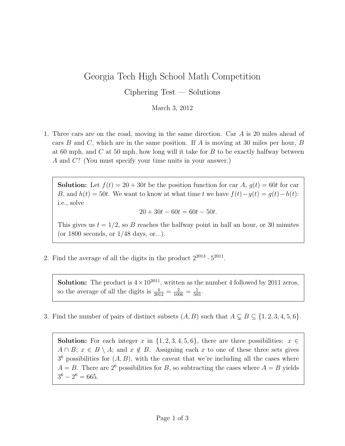## Georgia Tech High School Math Competition

Ciphering Test — Solutions

## March 3, 2012

1. Three cars are on the road, moving in the same direction. Car A is 20 miles ahead of cars B and C, which are in the same position. If A is moving at 30 miles per hour, B at 60 mph, and  $C$  at 50 mph, how long will it take for  $B$  to be exactly halfway between A and C? (You must specify your time units in your answer.)

**Solution:** Let  $f(t) = 20 + 30t$  be the position function for car A,  $g(t) = 60t$  for car B, and  $h(t) = 50t$ . We want to know at what time t we have  $f(t) - g(t) = g(t) - h(t)$ : i.e., solve

$$
20 + 30t - 60t = 60t - 50t.
$$

This gives us  $t = 1/2$ , so B reaches the halfway point in half an hour, or 30 minutes (or 1800 seconds, or 1/48 days, or...).

2. Find the average of all the digits in the product  $2^{2013} \cdot 5^{2011}$ .

**Solution:** The product is  $4 \times 10^{2011}$ , written as the number 4 followed by 2011 zeros, so the average of all the digits is  $\frac{4}{2012} = \frac{2}{1006} = \frac{1}{503}$ .

3. Find the number of pairs of distinct subsets  $(A, B)$  such that  $A \subsetneq B \subseteq \{1, 2, 3, 4, 5, 6\}.$ 

**Solution:** For each integer x in  $\{1, 2, 3, 4, 5, 6\}$ , there are three possibilities:  $x \in$  $A \cap B$ ;  $x \in B \setminus A$ ; and  $x \notin B$ . Assigning each x to one of these three sets gives  $3<sup>6</sup>$  possibilities for  $(A, B)$ , with the caveat that we're including all the cases where  $A = B$ . There are  $2^6$  possibilities for B, so subtracting the cases where  $A = B$  yields  $3^6 - 2^6 = 665.$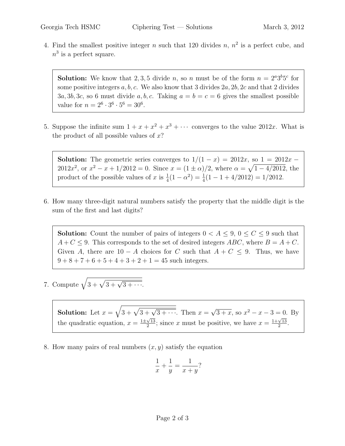4. Find the smallest positive integer n such that 120 divides  $n, n^2$  is a perfect cube, and  $n<sup>3</sup>$  is a perfect square.

**Solution:** We know that 2,3,5 divide *n*, so *n* must be of the form  $n = 2^a 3^b 5^c$  for some positive integers  $a, b, c$ . We also know that 3 divides  $2a, 2b, 2c$  and that 2 divides  $3a, 3b, 3c$ , so 6 must divide a, b, c. Taking  $a = b = c = 6$  gives the smallest possible value for  $n = 2^6 \cdot 3^6 \cdot 5^6 = 30^6$ .

5. Suppose the infinite sum  $1 + x + x^2 + x^3 + \cdots$  converges to the value 2012x. What is the product of all possible values of  $x$ ?

Solution: The geometric series converges to  $1/(1-x) = 2012x$ , so  $1 = 2012x -$ 2012 $x^2$ , or  $x^2 - x + 1/2012 = 0$ . Since  $x = (1 \pm \alpha)/2$ , where  $\alpha = \sqrt{1 - 4/2012}$ , the product of the possible values of x is  $\frac{1}{4}(1 - \alpha^2) = \frac{1}{4}(1 - 1 + \frac{4}{2012}) = \frac{1}{2012}$ .

6. How many three-digit natural numbers satisfy the property that the middle digit is the sum of the first and last digits?

**Solution:** Count the number of pairs of integers  $0 < A \leq 9$ ,  $0 \leq C \leq 9$  such that  $A + C \leq 9$ . This corresponds to the set of desired integers ABC, where  $B = A + C$ . Given A, there are  $10 - A$  choices for C such that  $A + C \leq 9$ . Thus, we have  $9 + 8 + 7 + 6 + 5 + 4 + 3 + 2 + 1 = 45$  such integers.

7. Compute  $\sqrt{3 + \sqrt{3 + \sqrt{3 + \cdots}}}}$ .

**Solution:** Let  $x = \sqrt{3 + \sqrt{3 + \sqrt{3 + \cdots}}}$ . Then  $x =$ √  $\overline{3 + x}$ , so  $x^2 - x - 3 = 0$ . By the quadratic equation,  $x = \frac{1 \pm \sqrt{13}}{2}$  $\frac{\sqrt{13}}{2}$ ; since x must be positive, we have  $x = \frac{1+\sqrt{13}}{2}$  $\frac{\sqrt{13}}{2}$ .

8. How many pairs of real numbers  $(x, y)$  satisfy the equation

$$
\frac{1}{x} + \frac{1}{y} = \frac{1}{x+y}?
$$